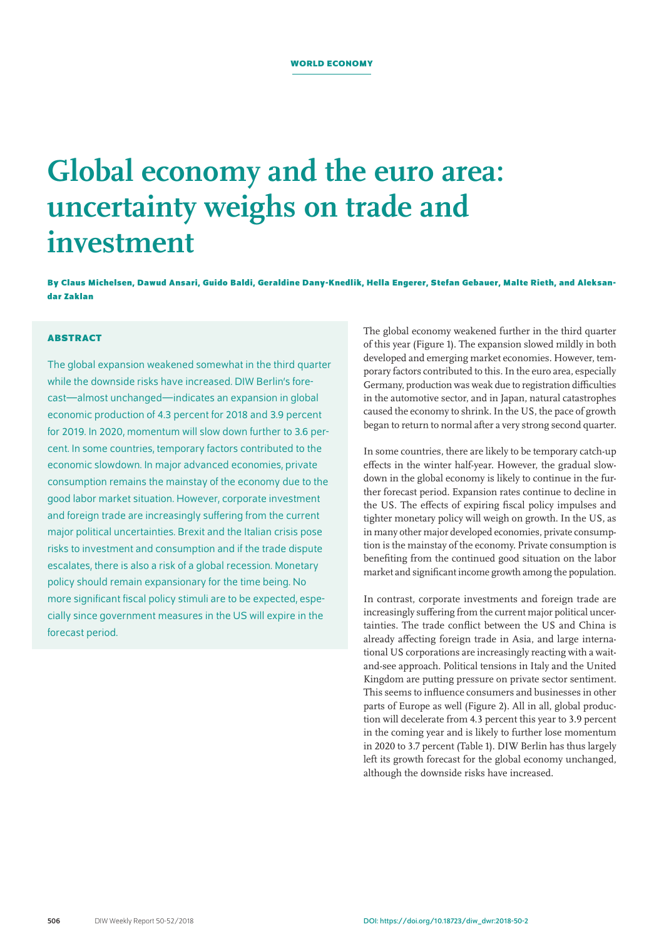# **Global economy and the euro area: uncertainty weighs on trade and investment**

**By Claus Michelsen, Dawud Ansari, Guido Baldi, Geraldine Dany-Knedlik, Hella Engerer, Stefan Gebauer, Malte Rieth, and Aleksandar Zaklan**

# **ABSTRACT**

The global expansion weakened somewhat in the third quarter while the downside risks have increased. DIW Berlin's forecast—almost unchanged—indicates an expansion in global economic production of 4.3 percent for 2018 and 3.9 percent for 2019. In 2020, momentum will slow down further to 3.6 percent. In some countries, temporary factors contributed to the economic slowdown. In major advanced economies, private consumption remains the mainstay of the economy due to the good labor market situation. However, corporate investment and foreign trade are increasingly suffering from the current major political uncertainties. Brexit and the Italian crisis pose risks to investment and consumption and if the trade dispute escalates, there is also a risk of a global recession. Monetary policy should remain expansionary for the time being. No more significant fiscal policy stimuli are to be expected, especially since government measures in the US will expire in the forecast period.

The global economy weakened further in the third quarter of this year (Figure 1). The expansion slowed mildly in both developed and emerging market economies. However, temporary factors contributed to this. In the euro area, especially Germany, production was weak due to registration difficulties in the automotive sector, and in Japan, natural catastrophes caused the economy to shrink. In the US, the pace of growth began to return to normal after a very strong second quarter.

In some countries, there are likely to be temporary catch-up effects in the winter half-year. However, the gradual slowdown in the global economy is likely to continue in the further forecast period. Expansion rates continue to decline in the US. The effects of expiring fiscal policy impulses and tighter monetary policy will weigh on growth. In the US, as in many other major developed economies, private consumption is the mainstay of the economy. Private consumption is benefiting from the continued good situation on the labor market and significant income growth among the population.

In contrast, corporate investments and foreign trade are increasingly suffering from the current major political uncertainties. The trade conflict between the US and China is already affecting foreign trade in Asia, and large international US corporations are increasingly reacting with a waitand-see approach. Political tensions in Italy and the United Kingdom are putting pressure on private sector sentiment. This seems to influence consumers and businesses in other parts of Europe as well (Figure 2). All in all, global production will decelerate from 4.3 percent this year to 3.9 percent in the coming year and is likely to further lose momentum in 2020 to 3.7 percent (Table 1). DIW Berlin has thus largely left its growth forecast for the global economy unchanged, although the downside risks have increased.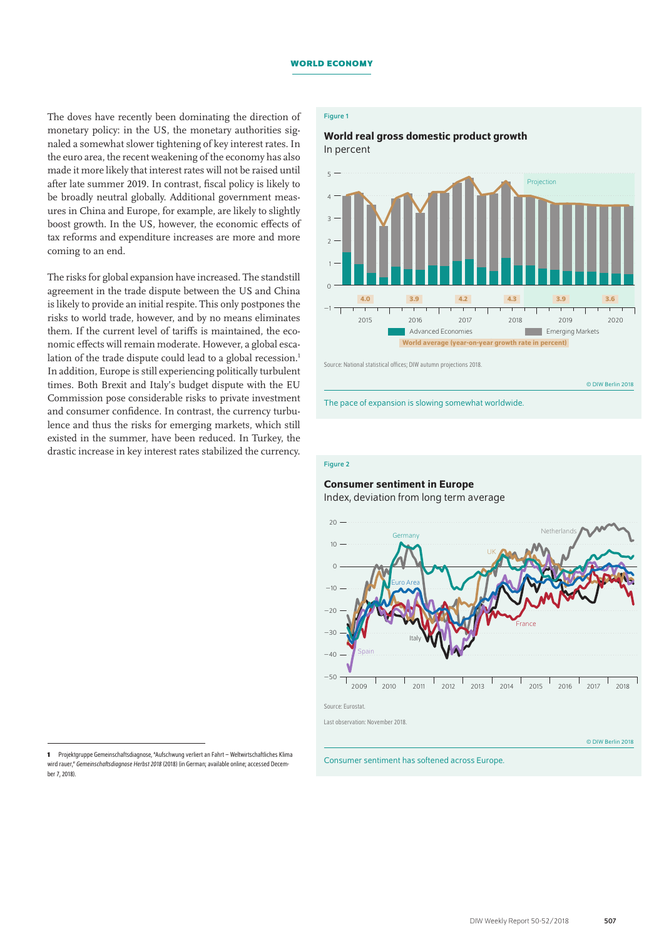The doves have recently been dominating the direction of monetary policy: in the US, the monetary authorities signaled a somewhat slower tightening of key interest rates. In the euro area, the recent weakening of the economy has also made it more likely that interest rates will not be raised until after late summer 2019. In contrast, fiscal policy is likely to be broadly neutral globally. Additional government measures in China and Europe, for example, are likely to slightly boost growth. In the US, however, the economic effects of tax reforms and expenditure increases are more and more coming to an end.

The risks for global expansion have increased. The standstill agreement in the trade dispute between the US and China is likely to provide an initial respite. This only postpones the risks to world trade, however, and by no means eliminates them. If the current level of tariffs is maintained, the economic effects will remain moderate. However, a global escalation of the trade dispute could lead to a global recession.<sup>1</sup> In addition, Europe is still experiencing politically turbulent times. Both Brexit and Italy's budget dispute with the EU Commission pose considerable risks to private investment and consumer confidence. In contrast, the currency turbulence and thus the risks for emerging markets, which still existed in the summer, have been reduced. In Turkey, the drastic increase in key interest rates stabilized the currency.

# World real gross domestic product growth In percent



Source: National statistical offices; DIW autumn projections 2018.

© DIW Berlin 2018

The pace of expansion is slowing somewhat worldwide.

# Figure 2

# Consumer sentiment in Europe

Index, deviation from long term average



**<sup>1</sup>** Projektgruppe Gemeinschaftsdiagnose, "Aufschwung verliert an Fahrt – Weltwirtschaftliches Klima wird rauer," *Gemeinschaftsdiagnose Herbst 2018* (2018) (in German; [available online;](https://www.diw.de/documents/dokumentenarchiv/17/diw_01.c.599299.de/gd2_2018.pdf) accessed December7, 2018).

Figure 1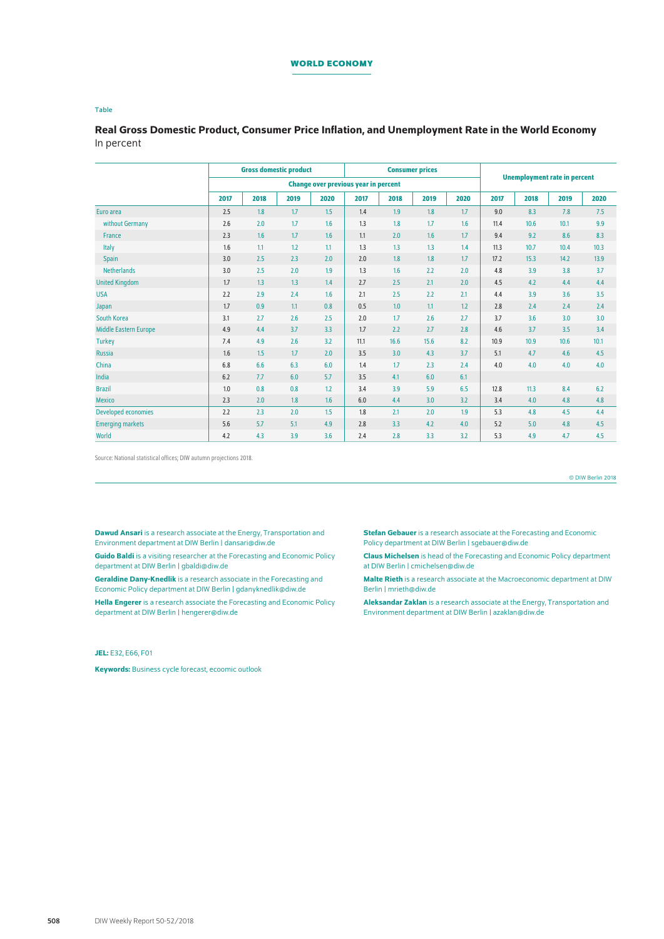# **WORLD ECONOMY**

#### Table

Real Gross Domestic Product, Consumer Price Inflation, and Unemployment Rate in the World Economy In percent

|                              | <b>Gross domestic product</b>               |      |      |                  | <b>Consumer prices</b> |      |      |      |                                     |      |      |      |
|------------------------------|---------------------------------------------|------|------|------------------|------------------------|------|------|------|-------------------------------------|------|------|------|
|                              | <b>Change over previous year in percent</b> |      |      |                  |                        |      |      |      | <b>Unemployment rate in percent</b> |      |      |      |
|                              | 2017                                        | 2018 | 2019 | 2020             | 2017                   | 2018 | 2019 | 2020 | 2017                                | 2018 | 2019 | 2020 |
| Euro area                    | 2.5                                         | 1.8  | 1.7  | 1.5              | 1.4                    | 1.9  | 1.8  | 1.7  | 9.0                                 | 8.3  | 7.8  | 7.5  |
| without Germany              | 2.6                                         | 2.0  | 1.7  | 1.6              | 1.3                    | 1.8  | 1.7  | 1.6  | 11.4                                | 10.6 | 10.1 | 9.9  |
| France                       | 2.3                                         | 1.6  | 1.7  | 1.6              | 1.1                    | 2.0  | 1.6  | 1.7  | 9.4                                 | 9.2  | 8.6  | 8.3  |
| Italy                        | 1.6                                         | 1.1  | 1.2  | 1.1              | 1.3                    | 1.3  | 1.3  | 1.4  | 11.3                                | 10.7 | 10.4 | 10.3 |
| <b>Spain</b>                 | 3.0                                         | 2.5  | 2.3  | 2.0              | 2.0                    | 1.8  | 1.8  | 1.7  | 17.2                                | 15.3 | 14.2 | 13.9 |
| <b>Netherlands</b>           | 3.0                                         | 2.5  | 2.0  | 1.9              | 1.3                    | 1.6  | 2.2  | 2.0  | 4.8                                 | 3.9  | 3.8  | 3.7  |
| <b>United Kingdom</b>        | 1.7                                         | 1.3  | 1.3  | 1.4              | 2.7                    | 2.5  | 2.1  | 2.0  | 4.5                                 | 4.2  | 4.4  | 4.4  |
| <b>USA</b>                   | 2.2                                         | 2.9  | 2.4  | 1.6              | 2.1                    | 2.5  | 2.2  | 2.1  | 4.4                                 | 3.9  | 3.6  | 3.5  |
| Japan                        | 1.7                                         | 0.9  | 1.1  | 0.8              | 0.5                    | 1.0  | 1.1  | 1.2  | 2.8                                 | 2.4  | 2.4  | 2.4  |
| South Korea                  | 3.1                                         | 2.7  | 2.6  | 2.5              | 2.0                    | 1.7  | 2.6  | 2.7  | 3.7                                 | 3.6  | 3.0  | 3.0  |
| <b>Middle Eastern Europe</b> | 4.9                                         | 4.4  | 3.7  | 3.3 <sub>2</sub> | 1.7                    | 2.2  | 2.7  | 2.8  | 4.6                                 | 3.7  | 3.5  | 3.4  |
| <b>Turkey</b>                | 7.4                                         | 4.9  | 2.6  | 3.2              | 11.1                   | 16.6 | 15.6 | 8.2  | 10.9                                | 10.9 | 10.6 | 10.1 |
| <b>Russia</b>                | 1.6                                         | 1.5  | 1.7  | 2.0              | 3.5                    | 3.0  | 4.3  | 3.7  | 5.1                                 | 4.7  | 4.6  | 4.5  |
| China                        | 6.8                                         | 6.6  | 6.3  | 6.0              | 1.4                    | 1.7  | 2.3  | 2.4  | 4.0                                 | 4.0  | 4.0  | 4.0  |
| India                        | 6.2                                         | 7.7  | 6.0  | 5.7              | 3.5                    | 4.1  | 6.0  | 6.1  |                                     |      |      |      |
| <b>Brazil</b>                | 1.0                                         | 0.8  | 0.8  | 1.2              | 3.4                    | 3.9  | 5.9  | 6.5  | 12.8                                | 11.3 | 8.4  | 6.2  |
| <b>Mexico</b>                | 2.3                                         | 2.0  | 1.8  | 1.6              | 6.0                    | 4.4  | 3.0  | 3.2  | 3.4                                 | 4.0  | 4.8  | 4.8  |
| <b>Developed economies</b>   | 2.2                                         | 2.3  | 2.0  | 1.5              | 1.8                    | 2.1  | 2.0  | 1.9  | 5.3                                 | 4.8  | 4.5  | 4.4  |
| <b>Emerging markets</b>      | 5.6                                         | 5.7  | 5.1  | 4.9              | 2.8                    | 3.3  | 4.2  | 4.0  | 5.2                                 | 5.0  | 4.8  | 4.5  |
| World                        | 4.2                                         | 4.3  | 3.9  | 3.6              | 2.4                    | 2.8  | 3.3  | 3.2  | 5.3                                 | 4.9  | 4.7  | 4.5  |

Source: National statistical offices; DIW autumn projections 2018.

© DIW Berlin 2018

Dawud Ansari is a research associate at the Energy, Transportation and Environment department at DIW Berlin | [dansari@diw.de](mailto:dansari%40diw.de?subject=)

**Guido Baldi** is a visiting researcher at the Forecasting and Economic Policy department at DIW Berlin | [gbaldi@diw.de](mailto:gbaldi%40diw.de?subject=)

Geraldine Dany-Knedlik is a research associate in the Forecasting and Economic Policy department at DIW Berlin | [gdanyknedlik@diw.de](mailto:gdanyknedlik%40diw.de?subject=)

Hella Engerer is a research associate the Forecasting and Economic Policy department at DIW Berlin | [hengerer@diw.de](mailto:hengerer%40diw.de?subject=)

JEL: E32, E66, F01

Keywords: Business cycle forecast, ecoomic outlook

Stefan Gebauer is a research associate at the Forecasting and Economic Policy department at DIW Berlin | [sgebauer@diw.de](mailto:sgebauer%40diw.de?subject=)

Claus Michelsen is head of the Forecasting and Economic Policy department at DIW Berlin | [cmichelsen@diw.de](mailto:cmichelsen%40diw.de?subject=)

Malte Rieth is a research associate at the Macroeconomic department at DIW Berlin | [mrieth@diw.de](mailto:mrieth%40diw.de?subject=)

Aleksandar Zaklan is a research associate at the Energy, Transportation and Environment department at DIW Berlin | [azaklan@diw.de](mailto:azaklan%40diw.de?subject=)